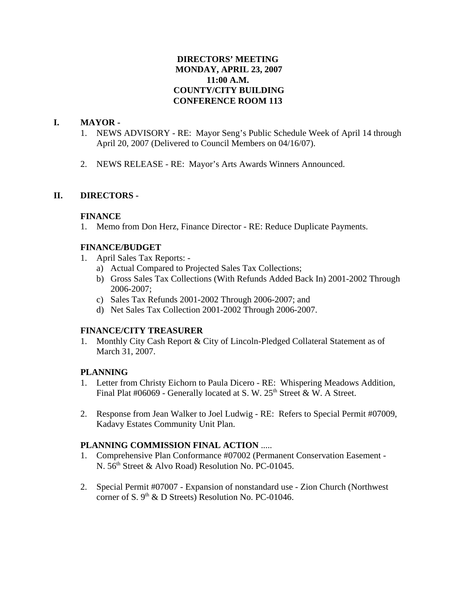# **DIRECTORS' MEETING MONDAY, APRIL 23, 2007 11:00 A.M. COUNTY/CITY BUILDING CONFERENCE ROOM 113**

# **I. MAYOR -**

- 1. NEWS ADVISORY RE: Mayor Seng's Public Schedule Week of April 14 through April 20, 2007 (Delivered to Council Members on 04/16/07).
- 2. NEWS RELEASE RE: Mayor's Arts Awards Winners Announced.

## **II. DIRECTORS -**

## **FINANCE**

1. Memo from Don Herz, Finance Director - RE: Reduce Duplicate Payments.

## **FINANCE/BUDGET**

- 1. April Sales Tax Reports:
	- a) Actual Compared to Projected Sales Tax Collections;
	- b) Gross Sales Tax Collections (With Refunds Added Back In) 2001-2002 Through 2006-2007;
	- c) Sales Tax Refunds 2001-2002 Through 2006-2007; and
	- d) Net Sales Tax Collection 2001-2002 Through 2006-2007.

## **FINANCE/CITY TREASURER**

1. Monthly City Cash Report & City of Lincoln-Pledged Collateral Statement as of March 31, 2007.

## **PLANNING**

- 1. Letter from Christy Eichorn to Paula Dicero RE: Whispering Meadows Addition, Final Plat  $\#06069$  - Generally located at S. W. 25<sup>th</sup> Street & W. A Street.
- 2. Response from Jean Walker to Joel Ludwig RE: Refers to Special Permit #07009, Kadavy Estates Community Unit Plan.

# **PLANNING COMMISSION FINAL ACTION** .....

- 1. Comprehensive Plan Conformance #07002 (Permanent Conservation Easement N. 56<sup>th</sup> Street & Alvo Road) Resolution No. PC-01045.
- 2. Special Permit #07007 Expansion of nonstandard use Zion Church (Northwest corner of S.  $9<sup>th</sup>$  & D Streets) Resolution No. PC-01046.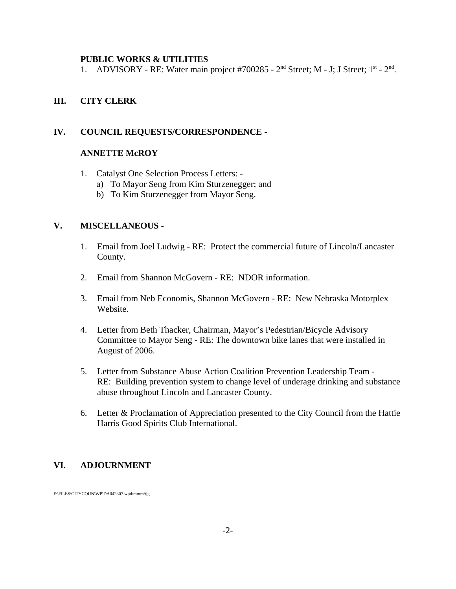#### **PUBLIC WORKS & UTILITIES**

1. ADVISORY - RE: Water main project #700285 -  $2<sup>nd</sup>$  Street; M - J; J Street;  $1<sup>st</sup>$  -  $2<sup>nd</sup>$ .

### **III. CITY CLERK**

#### **IV. COUNCIL REQUESTS/CORRESPONDENCE** -

### **ANNETTE McROY**

- 1. Catalyst One Selection Process Letters:
	- a) To Mayor Seng from Kim Sturzenegger; and
	- b) To Kim Sturzenegger from Mayor Seng.

## **V. MISCELLANEOUS -**

- 1. Email from Joel Ludwig RE: Protect the commercial future of Lincoln/Lancaster County.
- 2. Email from Shannon McGovern RE: NDOR information.
- 3. Email from Neb Economis, Shannon McGovern RE: New Nebraska Motorplex Website.
- 4. Letter from Beth Thacker, Chairman, Mayor's Pedestrian/Bicycle Advisory Committee to Mayor Seng - RE: The downtown bike lanes that were installed in August of 2006.
- 5. Letter from Substance Abuse Action Coalition Prevention Leadership Team RE: Building prevention system to change level of underage drinking and substance abuse throughout Lincoln and Lancaster County.
- 6. Letter & Proclamation of Appreciation presented to the City Council from the Hattie Harris Good Spirits Club International.

#### **VI. ADJOURNMENT**

F:\FILES\CITYCOUN\WP\DA042307.wpd/mmm/tjg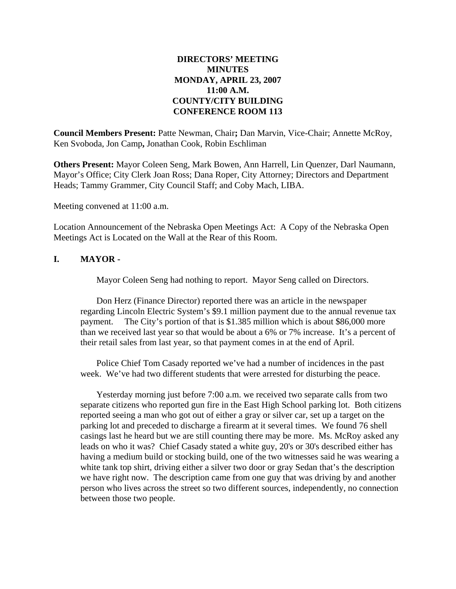# **DIRECTORS' MEETING MINUTES MONDAY, APRIL 23, 2007 11:00 A.M. COUNTY/CITY BUILDING CONFERENCE ROOM 113**

**Council Members Present:** Patte Newman, Chair**;** Dan Marvin, Vice-Chair; Annette McRoy, Ken Svoboda, Jon Camp**,** Jonathan Cook, Robin Eschliman

**Others Present:** Mayor Coleen Seng, Mark Bowen, Ann Harrell, Lin Quenzer, Darl Naumann, Mayor's Office; City Clerk Joan Ross; Dana Roper, City Attorney; Directors and Department Heads; Tammy Grammer, City Council Staff; and Coby Mach, LIBA.

Meeting convened at 11:00 a.m.

Location Announcement of the Nebraska Open Meetings Act: A Copy of the Nebraska Open Meetings Act is Located on the Wall at the Rear of this Room.

## **I. MAYOR -**

Mayor Coleen Seng had nothing to report. Mayor Seng called on Directors.

Don Herz (Finance Director) reported there was an article in the newspaper regarding Lincoln Electric System's \$9.1 million payment due to the annual revenue tax payment. The City's portion of that is \$1.385 million which is about \$86,000 more than we received last year so that would be about a 6% or 7% increase. It's a percent of their retail sales from last year, so that payment comes in at the end of April.

Police Chief Tom Casady reported we've had a number of incidences in the past week. We've had two different students that were arrested for disturbing the peace.

Yesterday morning just before 7:00 a.m. we received two separate calls from two separate citizens who reported gun fire in the East High School parking lot. Both citizens reported seeing a man who got out of either a gray or silver car, set up a target on the parking lot and preceded to discharge a firearm at it several times. We found 76 shell casings last he heard but we are still counting there may be more. Ms. McRoy asked any leads on who it was? Chief Casady stated a white guy, 20's or 30's described either has having a medium build or stocking build, one of the two witnesses said he was wearing a white tank top shirt, driving either a silver two door or gray Sedan that's the description we have right now. The description came from one guy that was driving by and another person who lives across the street so two different sources, independently, no connection between those two people.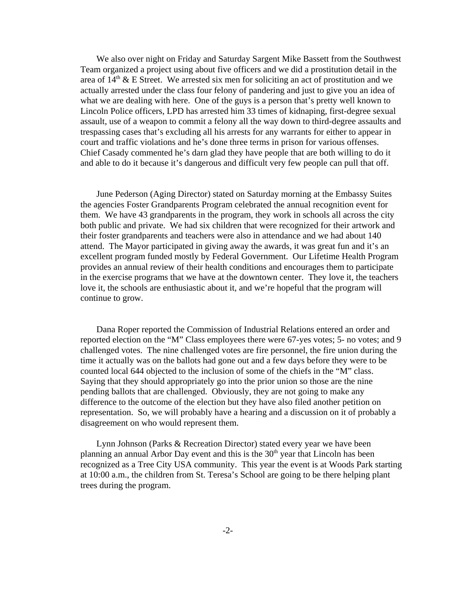We also over night on Friday and Saturday Sargent Mike Bassett from the Southwest Team organized a project using about five officers and we did a prostitution detail in the area of  $14<sup>th</sup>$  & E Street. We arrested six men for soliciting an act of prostitution and we actually arrested under the class four felony of pandering and just to give you an idea of what we are dealing with here. One of the guys is a person that's pretty well known to Lincoln Police officers, LPD has arrested him 33 times of kidnaping, first-degree sexual assault, use of a weapon to commit a felony all the way down to third-degree assaults and trespassing cases that's excluding all his arrests for any warrants for either to appear in court and traffic violations and he's done three terms in prison for various offenses. Chief Casady commented he's darn glad they have people that are both willing to do it and able to do it because it's dangerous and difficult very few people can pull that off.

June Pederson (Aging Director) stated on Saturday morning at the Embassy Suites the agencies Foster Grandparents Program celebrated the annual recognition event for them. We have 43 grandparents in the program, they work in schools all across the city both public and private. We had six children that were recognized for their artwork and their foster grandparents and teachers were also in attendance and we had about 140 attend. The Mayor participated in giving away the awards, it was great fun and it's an excellent program funded mostly by Federal Government. Our Lifetime Health Program provides an annual review of their health conditions and encourages them to participate in the exercise programs that we have at the downtown center. They love it, the teachers love it, the schools are enthusiastic about it, and we're hopeful that the program will continue to grow.

Dana Roper reported the Commission of Industrial Relations entered an order and reported election on the "M" Class employees there were 67-yes votes; 5- no votes; and 9 challenged votes. The nine challenged votes are fire personnel, the fire union during the time it actually was on the ballots had gone out and a few days before they were to be counted local 644 objected to the inclusion of some of the chiefs in the "M" class. Saying that they should appropriately go into the prior union so those are the nine pending ballots that are challenged. Obviously, they are not going to make any difference to the outcome of the election but they have also filed another petition on representation. So, we will probably have a hearing and a discussion on it of probably a disagreement on who would represent them.

Lynn Johnson (Parks & Recreation Director) stated every year we have been planning an annual Arbor Day event and this is the  $30<sup>th</sup>$  year that Lincoln has been recognized as a Tree City USA community. This year the event is at Woods Park starting at 10:00 a.m., the children from St. Teresa's School are going to be there helping plant trees during the program.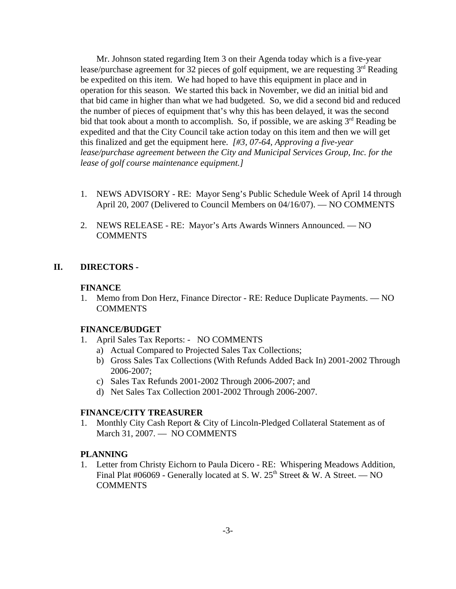Mr. Johnson stated regarding Item 3 on their Agenda today which is a five-year lease/purchase agreement for 32 pieces of golf equipment, we are requesting 3<sup>rd</sup> Reading be expedited on this item. We had hoped to have this equipment in place and in operation for this season. We started this back in November, we did an initial bid and that bid came in higher than what we had budgeted. So, we did a second bid and reduced the number of pieces of equipment that's why this has been delayed, it was the second bid that took about a month to accomplish. So, if possible, we are asking  $3<sup>rd</sup>$  Reading be expedited and that the City Council take action today on this item and then we will get this finalized and get the equipment here. *[#3, 07-64, Approving a five-year lease/purchase agreement between the City and Municipal Services Group, Inc. for the lease of golf course maintenance equipment.]* 

- 1. NEWS ADVISORY RE: Mayor Seng's Public Schedule Week of April 14 through April 20, 2007 (Delivered to Council Members on 04/16/07). — NO COMMENTS
- 2. NEWS RELEASE RE: Mayor's Arts Awards Winners Announced. NO COMMENTS

## **II. DIRECTORS -**

### **FINANCE**

1. Memo from Don Herz, Finance Director - RE: Reduce Duplicate Payments. — NO **COMMENTS** 

## **FINANCE/BUDGET**

- 1. April Sales Tax Reports: NO COMMENTS
	- a) Actual Compared to Projected Sales Tax Collections;
	- b) Gross Sales Tax Collections (With Refunds Added Back In) 2001-2002 Through 2006-2007;
	- c) Sales Tax Refunds 2001-2002 Through 2006-2007; and
	- d) Net Sales Tax Collection 2001-2002 Through 2006-2007.

#### **FINANCE/CITY TREASURER**

1. Monthly City Cash Report & City of Lincoln-Pledged Collateral Statement as of March 31, 2007. — NO COMMENTS

## **PLANNING**

1. Letter from Christy Eichorn to Paula Dicero - RE: Whispering Meadows Addition, Final Plat #06069 - Generally located at S. W.  $25<sup>th</sup>$  Street & W. A Street. — NO COMMENTS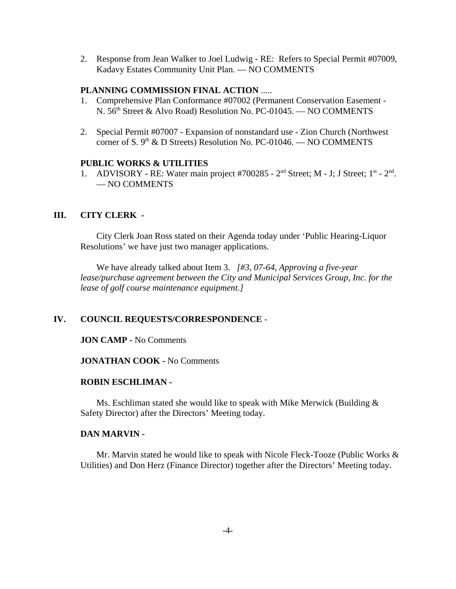2. Response from Jean Walker to Joel Ludwig - RE: Refers to Special Permit #07009, Kadavy Estates Community Unit Plan. — NO COMMENTS

### **PLANNING COMMISSION FINAL ACTION** .....

- 1. Comprehensive Plan Conformance #07002 (Permanent Conservation Easement N. 56<sup>th</sup> Street & Alvo Road) Resolution No. PC-01045. — NO COMMENTS
- 2. Special Permit #07007 Expansion of nonstandard use Zion Church (Northwest corner of S.  $9<sup>th</sup>$  & D Streets) Resolution No. PC-01046. — NO COMMENTS

#### **PUBLIC WORKS & UTILITIES**

1. ADVISORY - RE: Water main project  $#700285$  -  $2<sup>nd</sup>$  Street; M - J; J Street;  $1<sup>st</sup>$  -  $2<sup>nd</sup>$ . — NO COMMENTS

## **III. CITY CLERK -**

City Clerk Joan Ross stated on their Agenda today under 'Public Hearing-Liquor Resolutions' we have just two manager applications.

We have already talked about Item 3. *[#3, 07-64, Approving a five-year lease/purchase agreement between the City and Municipal Services Group, Inc. for the lease of golf course maintenance equipment.]*

## **IV. COUNCIL REQUESTS/CORRESPONDENCE** -

#### **JON CAMP -** No Comments

### **JONATHAN COOK -** No Comments

## **ROBIN ESCHLIMAN -**

Ms. Eschliman stated she would like to speak with Mike Merwick (Building & Safety Director) after the Directors' Meeting today.

### **DAN MARVIN -**

Mr. Marvin stated he would like to speak with Nicole Fleck-Tooze (Public Works & Utilities) and Don Herz (Finance Director) together after the Directors' Meeting today.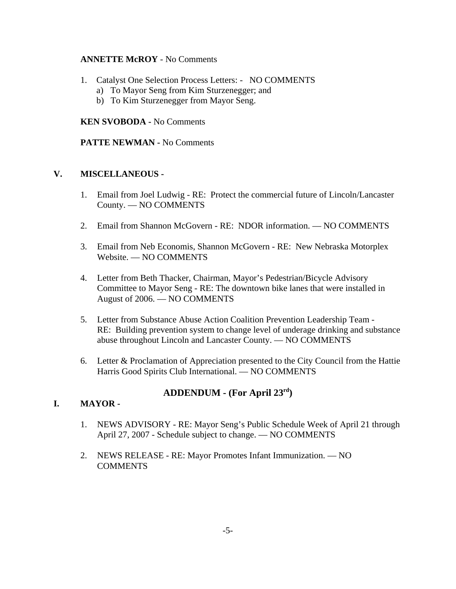# **ANNETTE McROY** - No Comments

- 1. Catalyst One Selection Process Letters: NO COMMENTS
	- a) To Mayor Seng from Kim Sturzenegger; and
	- b) To Kim Sturzenegger from Mayor Seng.

## **KEN SVOBODA -** No Comments

## **PATTE NEWMAN -** No Comments

# **V. MISCELLANEOUS -**

- 1. Email from Joel Ludwig RE: Protect the commercial future of Lincoln/Lancaster County. — NO COMMENTS
- 2. Email from Shannon McGovern RE: NDOR information. NO COMMENTS
- 3. Email from Neb Economis, Shannon McGovern RE: New Nebraska Motorplex Website. — NO COMMENTS
- 4. Letter from Beth Thacker, Chairman, Mayor's Pedestrian/Bicycle Advisory Committee to Mayor Seng - RE: The downtown bike lanes that were installed in August of 2006. — NO COMMENTS
- 5. Letter from Substance Abuse Action Coalition Prevention Leadership Team RE: Building prevention system to change level of underage drinking and substance abuse throughout Lincoln and Lancaster County. — NO COMMENTS
- 6. Letter & Proclamation of Appreciation presented to the City Council from the Hattie Harris Good Spirits Club International. — NO COMMENTS

# **ADDENDUM - (For April 23rd)**

# **I. MAYOR -**

- 1. NEWS ADVISORY RE: Mayor Seng's Public Schedule Week of April 21 through April 27, 2007 - Schedule subject to change. — NO COMMENTS
- 2. NEWS RELEASE RE: Mayor Promotes Infant Immunization. NO COMMENTS